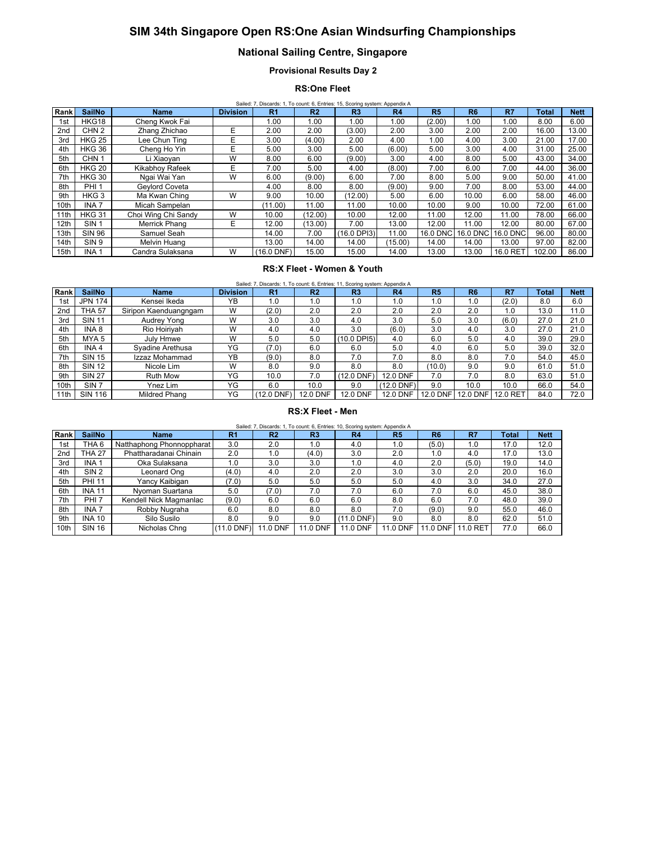# **SIM 34th Singapore Open RS:One Asian Windsurfing Championships**

# **National Sailing Centre, Singapore**

**Provisional Results Day 2**

## **RS:One Fleet**

|                 | Sailed: 7, Discards: 1, To count: 6, Entries: 15, Scoring system: Appendix A |                     |                 |                |                |                |           |                |                   |                 |              |             |  |  |
|-----------------|------------------------------------------------------------------------------|---------------------|-----------------|----------------|----------------|----------------|-----------|----------------|-------------------|-----------------|--------------|-------------|--|--|
| Rank            | <b>SailNo</b>                                                                | <b>Name</b>         | <b>Division</b> | R <sub>1</sub> | R <sub>2</sub> | R <sub>3</sub> | <b>R4</b> | R <sub>5</sub> | R <sub>6</sub>    | R7              | <b>Total</b> | <b>Nett</b> |  |  |
| 1st             | HKG18                                                                        | Cheng Kwok Fai      |                 | 1.00           | 1.00           | 1.00           | 1.00      | (2.00)         | 00.1              | 1.00            | 8.00         | 6.00        |  |  |
| 2 <sub>nd</sub> | CHN <sub>2</sub>                                                             | Zhang Zhichao       | E               | 2.00           | 2.00           | (3.00)         | 2.00      | 3.00           | 2.00              | 2.00            | 16.00        | 13.00       |  |  |
| 3rd             | <b>HKG 25</b>                                                                | Lee Chun Ting       | E               | 3.00           | (4.00)         | 2.00           | 4.00      | 1.00           | 4.00              | 3.00            | 21.00        | 17.00       |  |  |
| 4th             | <b>HKG 36</b>                                                                | Cheng Ho Yin        | E               | 5.00           | 3.00           | 5.00           | (6.00)    | 5.00           | 3.00              | 4.00            | 31.00        | 25.00       |  |  |
| 5th             | CHN <sub>1</sub>                                                             | Li Xiaovan          | W               | 8.00           | 6.00           | (9.00)         | 3.00      | 4.00           | 8.00              | 5.00            | 43.00        | 34.00       |  |  |
| 6th             | <b>HKG 20</b>                                                                | Kikabhov Rafeek     | E               | 7.00           | 5.00           | 4.00           | (8.00)    | 7.00           | 6.00              | 7.00            | 44.00        | 36.00       |  |  |
| 7th             | <b>HKG 30</b>                                                                | Ngai Wai Yan        | W               | 6.00           | (9.00)         | 6.00           | 7.00      | 8.00           | 5.00              | 9.00            | 50.00        | 41.00       |  |  |
| 8th             | PHI <sub>1</sub>                                                             | Geylord Coveta      |                 | 4.00           | 8.00           | 8.00           | (9.00)    | 9.00           | 7.00              | 8.00            | 53.00        | 44.00       |  |  |
| 9th             | HKG <sub>3</sub>                                                             | Ma Kwan Ching       | W               | 9.00           | 10.00          | (12.00)        | 5.00      | 6.00           | 10.00             | 6.00            | 58.00        | 46.00       |  |  |
| 10th            | INA <sub>7</sub>                                                             | Micah Sampelan      |                 | (11.00)        | 11.00          | 11.00          | 10.00     | 10.00          | 9.00              | 10.00           | 72.00        | 61.00       |  |  |
| 11th            | <b>HKG 31</b>                                                                | Choi Wing Chi Sandy | W               | 10.00          | (12.00)        | 10.00          | 12.00     | 11.00          | 12.00             | 11.00           | 78.00        | 66.00       |  |  |
| 12th            | SIN <sub>1</sub>                                                             | Merrick Phang       | E               | 12.00          | (13.00)        | 7.00           | 13.00     | 12.00          | 11.00             | 12.00           | 80.00        | 67.00       |  |  |
| 13th            | <b>SIN 96</b>                                                                | Samuel Seah         |                 | 14.00          | 7.00           | (16.0 DPI3)    | 11.00     |                | 16.0 DNC 16.0 DNC | <b>16.0 DNC</b> | 96.00        | 80.00       |  |  |
| 14th            | SIN 9                                                                        | Melvin Huang        |                 | 13.00          | 14.00          | 14.00          | (15.00)   | 14.00          | 14.00             | 13.00           | 97.00        | 82.00       |  |  |
| 15th            | INA <sub>1</sub>                                                             | Candra Sulaksana    | W               | $(16.0$ DNF)   | 15.00          | 15.00          | 14.00     | 13.00          | 13.00             | 16.0 RET        | 102.00       | 86.00       |  |  |

### **RS:X Fleet - Women & Youth**

| Rank | <b>SailNo</b>    | <b>Name</b>           | <b>Division</b> | R <sub>1</sub> | R <sub>2</sub>  | R <sub>3</sub>  | R <sub>4</sub>  | <b>R5</b> | R <sub>6</sub> | R7       | <b>Total</b> | <b>Nett</b> |
|------|------------------|-----------------------|-----------------|----------------|-----------------|-----------------|-----------------|-----------|----------------|----------|--------------|-------------|
| 1st  | <b>JPN 174</b>   | Kensei Ikeda          | YB              | 1.0            | 1.0             | 1.0             | 1.0             | 1.0       | 1.0            | (2.0)    | 8.0          | 6.0         |
| 2nd  | <b>THA 57</b>    | Siripon Kaenduangngam | W               | (2.0)          | 2.0             | 2.0             | 2.0             | 2.0       | 2.0            | 1.0      | 13.0         | 11.0        |
| 3rd  | <b>SIN 11</b>    | Audrey Yong           | W               | 3.0            | 3.0             | 4.0             | 3.0             | 5.0       | 3.0            | (6.0)    | 27.0         | 21.0        |
| 4th  | INA 8            | Rio Hoirivah          | W               | 4.0            | 4.0             | 3.0             | (6.0)           | 3.0       | 4.0            | 3.0      | 27.0         | 21.0        |
| 5th  | MYA <sub>5</sub> | July Hmwe             | W               | 5.0            | 5.0             | (10.0 DPI5)     | 4.0             | 6.0       | 5.0            | 4.0      | 39.0         | 29.0        |
| 6th  | INA <sub>4</sub> | Syadine Arethusa      | YG              | (7.0)          | 6.0             | 6.0             | 5.0             | 4.0       | 6.0            | 5.0      | 39.0         | 32.0        |
| 7th  | <b>SIN 15</b>    | Izzaz Mohammad        | YB              | (9.0)          | 8.0             | 7.0             | 7.0             | 8.0       | 8.0            | 7.0      | 54.0         | 45.0        |
| 8th  | <b>SIN 12</b>    | Nicole Lim            | W               | 8.0            | 9.0             | 8.0             | 8.0             | (10.0)    | 9.0            | 9.0      | 61.0         | 51.0        |
| 9th  | <b>SIN 27</b>    | <b>Ruth Mow</b>       | YG              | 10.0           | 7.0             | (12.0 DNF)      | <b>12.0 DNF</b> | 7.0       | 7.0            | 8.0      | 63.0         | 51.0        |
| 10th | SIN <sub>7</sub> | Ynez Lim              | YG              | 6.0            | 10.0            | 9.0             | $(12.0$ DNF)    | 9.0       | 10.0           | 10.0     | 66.0         | 54.0        |
| 11th | <b>SIN 116</b>   | Mildred Phang         | YG              | (12.0 DNF)     | <b>12.0 DNF</b> | <b>12.0 DNF</b> | 12.0 DNF        | 12.0 DNF  | 12.0 DNF       | 12.0 RET | 84.0         | 72.0        |

#### **RS:X Fleet - Men**

|             | 6, Entries: 10, Scoring system: Appendix A<br>Sailed<br>Discards:<br>To count: |             |         |             |           |    |          |                      |          |               |             |  |  |
|-------------|--------------------------------------------------------------------------------|-------------|---------|-------------|-----------|----|----------|----------------------|----------|---------------|-------------|--|--|
| <b>Rank</b> | <b>SailNo</b>                                                                  | <b>Name</b> | ь.<br>. | m.<br>- IV. | m.<br>Two | R4 | m.<br>ĸе | D.C<br>w             | m.<br>m. | Total         | <b>Nett</b> |  |  |
|             | _ _                                                                            | - -<br>.    | - -     | - -         |           |    |          | $\sim$ $\sim$ $\sim$ |          | $\sim$ $\sim$ | .           |  |  |

| naun            | vaniv            | 1191115                   | .            | $\sim$   | - 13            | .            | .        | .        | .       | ι νιαι | <b>INGLL</b> |
|-----------------|------------------|---------------------------|--------------|----------|-----------------|--------------|----------|----------|---------|--------|--------------|
| 1st             | THA 6            | Natthaphong Phonnoppharat | 3.0          | 2.0      | 1.0             | 4.0          | 1.0      | (5.0)    | 1.0     | 17.0   | 12.0         |
| 2 <sub>nd</sub> | <b>THA 27</b>    | Phattharadanai Chinain    | 2.0          | 1.0      | (4.0)           | 3.0          | 2.0      | 1.0      | 4.0     | 17.0   | 13.0         |
| 3rd             | INA <sub>1</sub> | Oka Sulaksana             | 1.0          | 3.0      | 3.0             | 1.0          | 4.0      | 2.0      | (5.0)   | 19.0   | 14.0         |
| 4th             | SIN <sub>2</sub> | Leonard Ong               | (4.0)        | 4.0      | 2.0             | 2.0          | 3.0      | 3.0      | 2.0     | 20.0   | 16.0         |
| 5th             | <b>PHI 11</b>    | Yancy Kaibigan            | (7.0)        | 5.0      | 5.0             | 5.0          | 5.0      | 4.0      | 3.0     | 34.0   | 27.0         |
| 6th             | <b>INA 11</b>    | Nyoman Suartana           | 5.0          | (7.0)    | 7.0             | 7.0          | 6.0      | 7.0      | 6.0     | 45.0   | 38.0         |
| 7th             | PHI <sub>7</sub> | Kendell Nick Magmanlac    | (9.0)        | 6.0      | 6.0             | 6.0          | 8.0      | 6.0      | 7.0     | 48.0   | 39.0         |
| 8th             | INA <sub>7</sub> | Robby Nugraha             | 6.0          | 8.0      | 8.0             | 8.0          | 7.0      | (9.0)    | 9.0     | 55.0   | 46.0         |
| 9th             | <b>INA 10</b>    | Silo Susilo               | 8.0          | 9.0      | 9.0             | $(11.0$ DNF) | 9.0      | 8.0      | 8.0     | 62.0   | 51.0         |
| 10th            | <b>SIN 16</b>    | Nicholas Chnq             | $(11.0$ DNF) | 11.0 DNF | <b>11.0 DNF</b> | 11.0 DNF     | 11.0 DNF | 11.0 DNF | 1.0 RET | 77.0   | 66.0         |